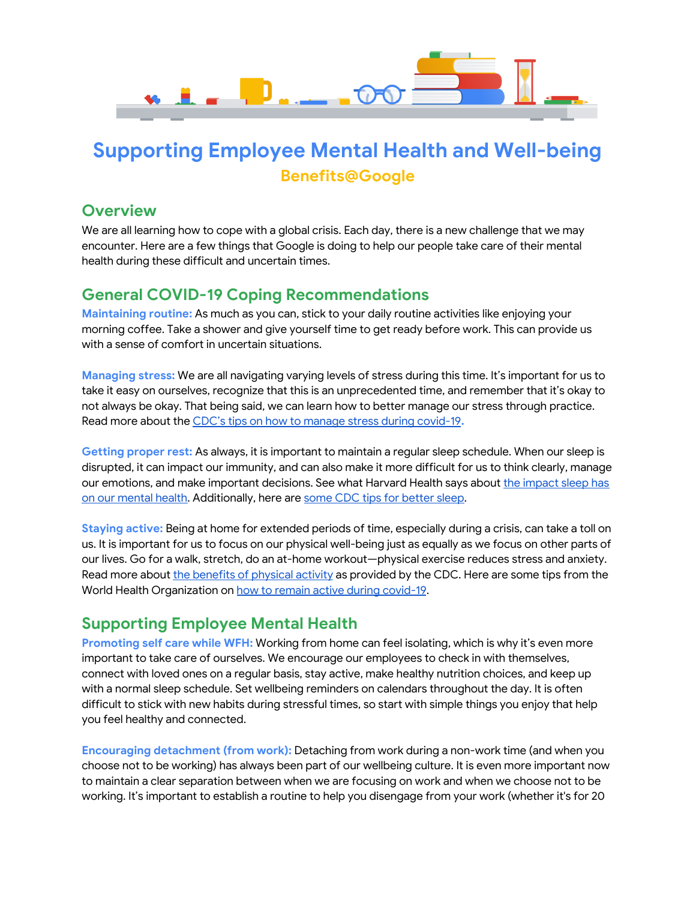

## **Supporting Employee Mental Health and Well-being Benefits@Google**

#### **Overview**

We are all learning how to cope with a global crisis. Each day, there is a new challenge that we may encounter. Here are a few things that Google is doing to help our people take care of their mental health during these difficult and uncertain times.

## **General COVID-19 Coping Recommendations**

**Maintaining routine:** As much as you can, stick to your daily routine activities like enjoying your morning coffee. Take a shower and give yourself time to get ready before work. This can provide us with a sense of comfort in uncertain situations.

**Managing stress:** We are all navigating varying levels of stress during this time. It's important for us to take it easy on ourselves, recognize that this is an unprecedented time, and remember that it's okay to not always be okay. That being said, we can learn how to better manage our stress through practice. Read more about the CDC's tips on how to manage stress during [covid-19](https://www.cdc.gov/coronavirus/2019-ncov/daily-life-coping/managing-stress-anxiety.html)**.**

**Getting proper rest:** As always, it is important to maintain a regular sleep schedule. When our sleep is disrupted, it can impact our immunity, and can also make it more difficult for us to think clearly, manage our emotions, and make important decisions. See what Harvard Health says about the [impact](https://www.health.harvard.edu/newsletter_article/sleep-and-mental-health) sleep has on our [mental](https://www.health.harvard.edu/newsletter_article/sleep-and-mental-health) health. Additionally, here are some CDC tips for [better](https://www.cdc.gov/sleep/about_sleep/sleep_hygiene.html) sleep.

**Staying active:** Being at home for extended periods of time, especially during a crisis, can take a toll on us. It is important for us to focus on our physical well-being just as equally as we focus on other parts of our lives. Go for a walk, stretch, do an at-home workout—physical exercise reduces stress and anxiety. Read more about the [benefits](https://www.cdc.gov/physicalactivity/basics/index.htm) of physical activity as provided by the CDC. Here are some tips from the World Health Organization on how to remain active during [covid-19](https://www.who.int/news-room/q-a-detail/be-active-during-covid-19).

## **Supporting Employee Mental Health**

**Promoting self care while WFH:** Working from home can feel isolating, which is why it's even more important to take care of ourselves. We encourage our employees to check in with themselves, connect with loved ones on a regular basis, stay active, make healthy nutrition choices, and keep up with a normal sleep schedule. Set wellbeing reminders on calendars throughout the day. It is often difficult to stick with new habits during stressful times, so start with simple things you enjoy that help you feel healthy and connected.

**Encouraging detachment (from work):** Detaching from work during a non-work time (and when you choose not to be working) has always been part of our wellbeing culture. It is even more important now to maintain a clear separation between when we are focusing on work and when we choose not to be working. It's important to establish a routine to help you disengage from your work (whether it's for 20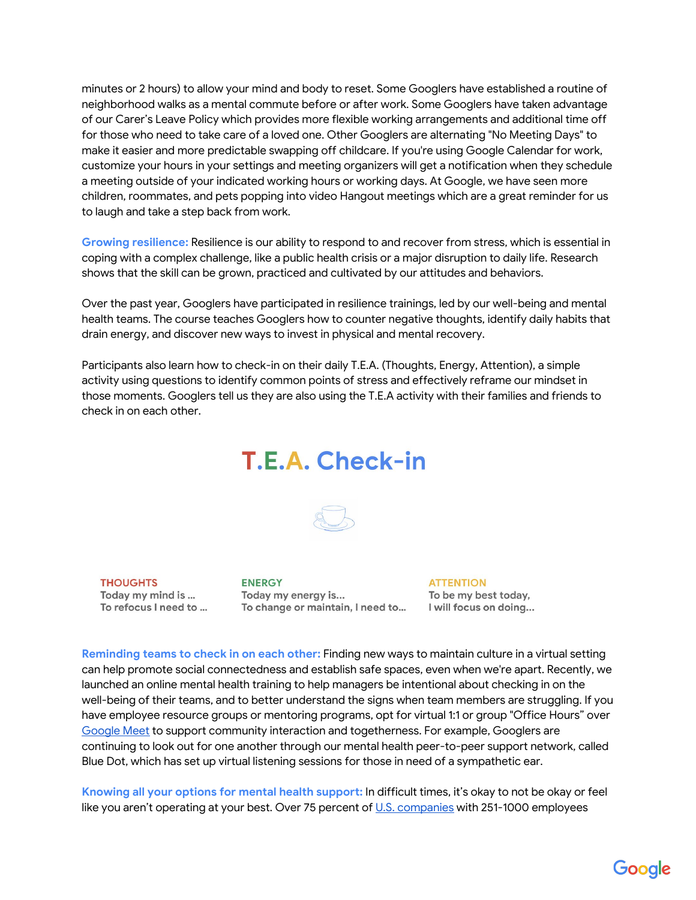minutes or 2 hours) to allow your mind and body to reset. Some Googlers have established a routine of neighborhood walks as a mental commute before or after work. Some Googlers have taken advantage of our Carer's Leave Policy which provides more flexible working arrangements and additional time off for those who need to take care of a loved one. Other Googlers are alternating "No Meeting Days" to make it easier and more predictable swapping off childcare. If you're using Google Calendar for work, customize your hours in your settings and meeting organizers will get a notification when they schedule a meeting outside of your indicated working hours or working days. At Google, we have seen more children, roommates, and pets popping into video Hangout meetings which are a great reminder for us to laugh and take a step back from work.

**Growing resilience:** Resilience is our ability to respond to and recover from stress, which is essential in coping with a complex challenge, like a public health crisis or a major disruption to daily life. Research shows that the skill can be grown, practiced and cultivated by our attitudes and behaviors.

Over the past year, Googlers have participated in resilience trainings, led by our well-being and mental health teams. The course teaches Googlers how to counter negative thoughts, identify daily habits that drain energy, and discover new ways to invest in physical and mental recovery.

Participants also learn how to check-in on their daily T.E.A. (Thoughts, Energy, Attention), a simple activity using questions to identify common points of stress and effectively reframe our mindset in those moments. Googlers tell us they are also using the T.E.A activity with their families and friends to check in on each other.

# T.E.A. Check-in

THOUGHTS<br>
Today my mind is ... Today my energy is... To be my best today,<br>
To refocus I need to ... To change or maintain, I need to ... I will focus on doing...

**Reminding teams to check in on each other:** Finding new ways to maintain culture in a virtual setting can help promote social connectedness and establish safe spaces, even when we're apart. Recently, we launched an online mental health training to help managers be intentional about checking in on the well-being of their teams, and to better understand the signs when team members are struggling. If you have employee resource groups or mentoring programs, opt for virtual 1:1 or group "Office Hours" over [Google](https://blog.google/products/meet/bringing-google-meet-to-more-people) Meet to support community interaction and togetherness. For example, Googlers are continuing to look out for one another through our mental health peer-to-peer support network, called Blue Dot, which has set up virtual listening sessions for those in need of a sympathetic ear.

**Knowing all your options for mental health support:** In difficult times, it's okay to not be okay or feel like you aren't operating at your best. Over 75 percent of U.S. [companies](https://www.eapassn.org/faqs) with 251-1000 employees